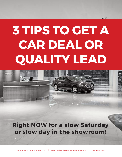## **3 TIPS TO GET A CAR DEAL OR QUALITY LEAD**



**Right NOW for a slow Saturday or slow day in the showroom!**